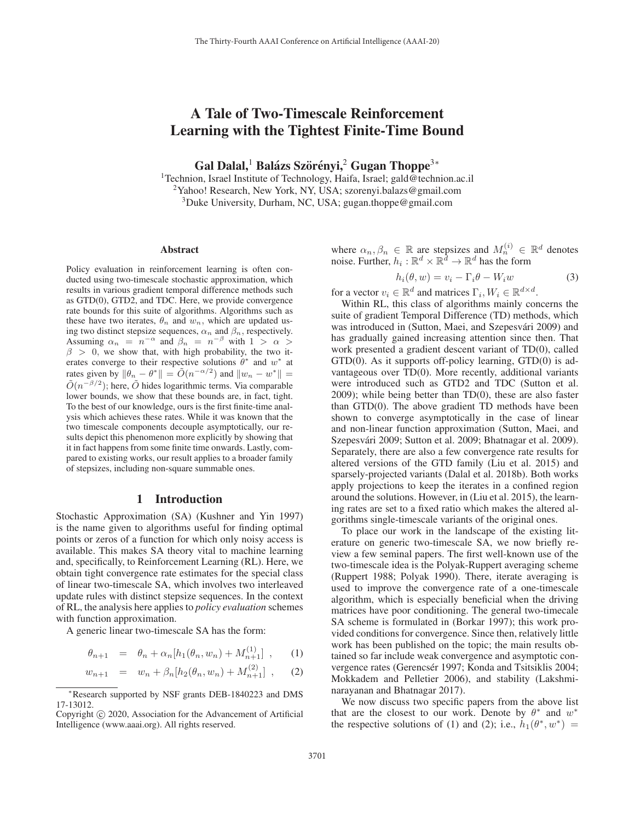# A Tale of Two-Timescale Reinforcement Learning with the Tightest Finite-Time Bound

Gal Dalal,<sup>1</sup> Balázs Szörényi,<sup>2</sup> Gugan Thoppe<sup>3∗</sup>

<sup>1</sup>Technion, Israel Institute of Technology, Haifa, Israel; gald@technion.ac.il <sup>2</sup>Yahoo! Research, New York, NY, USA; szorenyi.balazs@gmail.com <sup>3</sup>Duke University, Durham, NC, USA; gugan.thoppe@gmail.com

#### Abstract

Policy evaluation in reinforcement learning is often conducted using two-timescale stochastic approximation, which results in various gradient temporal difference methods such as GTD(0), GTD2, and TDC. Here, we provide convergence rate bounds for this suite of algorithms. Algorithms such as these have two iterates,  $\theta_n$  and  $w_n$ , which are updated using two distinct stepsize sequences,  $\alpha_n$  and  $\beta_n$ , respectively. Assuming  $\alpha_n = n^{-\alpha}$  and  $\beta_n = n^{-\beta}$  with  $1 > \alpha >$  $\beta > 0$ , we show that, with high probability, the two iterates converge to their respective solutions  $\theta^*$  and  $w^*$  at rates given by  $\|\theta_n - \theta^*\| = \tilde{O}(n^{-\alpha/2})$  and  $\|w_n - w^*\| =$  $\tilde{O}(n^{-\beta/2})$ ; here,  $\tilde{O}$  hides logarithmic terms. Via comparable lower bounds, we show that these bounds are, in fact, tight. To the best of our knowledge, ours is the first finite-time analysis which achieves these rates. While it was known that the two timescale components decouple asymptotically, our results depict this phenomenon more explicitly by showing that it in fact happens from some finite time onwards. Lastly, compared to existing works, our result applies to a broader family of stepsizes, including non-square summable ones.

#### 1 Introduction

Stochastic Approximation (SA) (Kushner and Yin 1997) is the name given to algorithms useful for finding optimal points or zeros of a function for which only noisy access is available. This makes SA theory vital to machine learning and, specifically, to Reinforcement Learning (RL). Here, we obtain tight convergence rate estimates for the special class of linear two-timescale SA, which involves two interleaved update rules with distinct stepsize sequences. In the context of RL, the analysis here applies to *policy evaluation* schemes with function approximation.

A generic linear two-timescale SA has the form:

$$
\theta_{n+1} = \theta_n + \alpha_n [h_1(\theta_n, w_n) + M_{n+1}^{(1)}], \quad (1)
$$

$$
w_{n+1} = w_n + \beta_n [h_2(\theta_n, w_n) + M_{n+1}^{(2)}], \quad (2)
$$

where  $\alpha_n, \beta_n \in \mathbb{R}$  are stepsizes and  $M_n^{(i)} \in \mathbb{R}^d$  denotes noise. Further,  $h_i : \mathbb{R}^d \times \mathbb{R}^d \to \mathbb{R}^d$  has the form

$$
h_i(\theta, w) = v_i - \Gamma_i \theta - W_i w \tag{3}
$$

for a vector  $v_i \in \mathbb{R}^d$  and matrices  $\Gamma_i, W_i \in \mathbb{R}^{d \times d}$ .

Within RL, this class of algorithms mainly concerns the suite of gradient Temporal Difference (TD) methods, which was introduced in (Sutton, Maei, and Szepesvári 2009) and has gradually gained increasing attention since then. That work presented a gradient descent variant of TD(0), called GTD(0). As it supports off-policy learning, GTD(0) is advantageous over TD(0). More recently, additional variants were introduced such as GTD2 and TDC (Sutton et al. 2009); while being better than TD(0), these are also faster than GTD(0). The above gradient TD methods have been shown to converge asymptotically in the case of linear and non-linear function approximation (Sutton, Maei, and Szepesvári 2009; Sutton et al. 2009; Bhatnagar et al. 2009). Separately, there are also a few convergence rate results for altered versions of the GTD family (Liu et al. 2015) and sparsely-projected variants (Dalal et al. 2018b). Both works apply projections to keep the iterates in a confined region around the solutions. However, in (Liu et al. 2015), the learning rates are set to a fixed ratio which makes the altered algorithms single-timescale variants of the original ones.

To place our work in the landscape of the existing literature on generic two-timescale SA, we now briefly review a few seminal papers. The first well-known use of the two-timescale idea is the Polyak-Ruppert averaging scheme (Ruppert 1988; Polyak 1990). There, iterate averaging is used to improve the convergence rate of a one-timescale algorithm, which is especially beneficial when the driving matrices have poor conditioning. The general two-timecale SA scheme is formulated in (Borkar 1997); this work provided conditions for convergence. Since then, relatively little work has been published on the topic; the main results obtained so far include weak convergence and asymptotic convergence rates (Gerencsér 1997; Konda and Tsitsiklis 2004; Mokkadem and Pelletier 2006), and stability (Lakshminarayanan and Bhatnagar 2017).

We now discuss two specific papers from the above list that are the closest to our work. Denote by  $\theta^*$  and  $w^*$ the respective solutions of (1) and (2); i.e.,  $h_1(\theta^*, w^*)$  =

<sup>∗</sup>Research supported by NSF grants DEB-1840223 and DMS 17-13012.

Copyright  $\odot$  2020, Association for the Advancement of Artificial Intelligence (www.aaai.org). All rights reserved.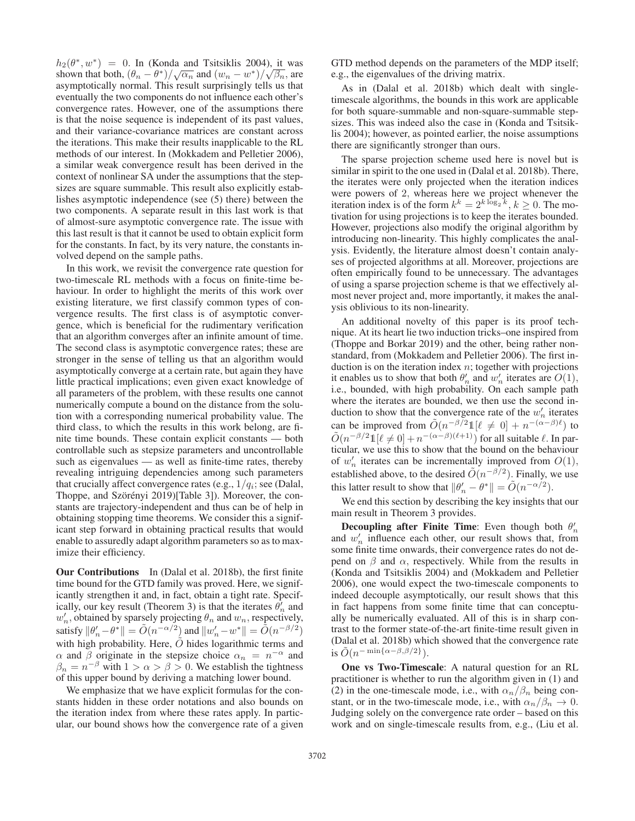$h_2(\theta^*, w^*) = 0$ . In (Konda and Tsitsiklis 2004), it was  $h_2(\theta', w') = 0$ . In (Konda and Tsitsiklis 2004), it was<br>shown that both,  $(\theta_n - \theta^*)/\sqrt{\alpha_n}$  and  $(w_n - w^*)/\sqrt{\beta_n}$ , are asymptotically normal. This result surprisingly tells us that eventually the two components do not influence each other's convergence rates. However, one of the assumptions there is that the noise sequence is independent of its past values, and their variance-covariance matrices are constant across the iterations. This make their results inapplicable to the RL methods of our interest. In (Mokkadem and Pelletier 2006), a similar weak convergence result has been derived in the context of nonlinear SA under the assumptions that the stepsizes are square summable. This result also explicitly establishes asymptotic independence (see (5) there) between the two components. A separate result in this last work is that of almost-sure asymptotic convergence rate. The issue with this last result is that it cannot be used to obtain explicit form for the constants. In fact, by its very nature, the constants involved depend on the sample paths.

In this work, we revisit the convergence rate question for two-timescale RL methods with a focus on finite-time behaviour. In order to highlight the merits of this work over existing literature, we first classify common types of convergence results. The first class is of asymptotic convergence, which is beneficial for the rudimentary verification that an algorithm converges after an infinite amount of time. The second class is asymptotic convergence rates; these are stronger in the sense of telling us that an algorithm would asymptotically converge at a certain rate, but again they have little practical implications; even given exact knowledge of all parameters of the problem, with these results one cannot numerically compute a bound on the distance from the solution with a corresponding numerical probability value. The third class, to which the results in this work belong, are finite time bounds. These contain explicit constants — both controllable such as stepsize parameters and uncontrollable such as eigenvalues — as well as finite-time rates, thereby revealing intriguing dependencies among such parameters that crucially affect convergence rates (e.g.,  $1/q_i$ ; see (Dalal, Thoppe, and Szörényi 2019)[Table 3]). Moreover, the constants are trajectory-independent and thus can be of help in obtaining stopping time theorems. We consider this a significant step forward in obtaining practical results that would enable to assuredly adapt algorithm parameters so as to maximize their efficiency.

Our Contributions In (Dalal et al. 2018b), the first finite time bound for the GTD family was proved. Here, we significantly strengthen it and, in fact, obtain a tight rate. Specifically, our key result (Theorem 3) is that the iterates  $\theta'_n$  and  $w'_n$ , obtained by sparsely projecting  $\theta_n$  and  $w_n$ , respectively, satisfy  $\|\theta'_n - \theta^*\| = \tilde{O}(n^{-\alpha/2})$  and  $\|w'_n - w^*\| = \tilde{O}(n^{-\beta/2})$ with high probability. Here,  $\tilde{O}$  hides logarithmic terms and  $\alpha$  and  $\beta$  originate in the stepsize choice  $\alpha_n = n^{-\alpha}$  and  $\beta_n = n^{-\beta}$  with  $1 > \alpha > \beta > 0$ . We establish the tightness of this upper bound by deriving a matching lower bound.

We emphasize that we have explicit formulas for the constants hidden in these order notations and also bounds on the iteration index from where these rates apply. In particular, our bound shows how the convergence rate of a given GTD method depends on the parameters of the MDP itself; e.g., the eigenvalues of the driving matrix.

As in (Dalal et al. 2018b) which dealt with singletimescale algorithms, the bounds in this work are applicable for both square-summable and non-square-summable stepsizes. This was indeed also the case in (Konda and Tsitsiklis 2004); however, as pointed earlier, the noise assumptions there are significantly stronger than ours.

The sparse projection scheme used here is novel but is similar in spirit to the one used in (Dalal et al. 2018b). There, the iterates were only projected when the iteration indices were powers of 2, whereas here we project whenever the iteration index is of the form  $k^k = 2^{k \log_2 k}$ ,  $k \ge 0$ . The motivation for using projections is to keep the iterates bounded. However, projections also modify the original algorithm by introducing non-linearity. This highly complicates the analysis. Evidently, the literature almost doesn't contain analyses of projected algorithms at all. Moreover, projections are often empirically found to be unnecessary. The advantages of using a sparse projection scheme is that we effectively almost never project and, more importantly, it makes the analysis oblivious to its non-linearity.

An additional novelty of this paper is its proof technique. At its heart lie two induction tricks–one inspired from (Thoppe and Borkar 2019) and the other, being rather nonstandard, from (Mokkadem and Pelletier 2006). The first induction is on the iteration index  $n$ ; together with projections it enables us to show that both  $\theta'_n$  and  $w'_n$  iterates are  $O(1)$ , i.e., bounded, with high probability. On each sample path where the iterates are bounded, we then use the second induction to show that the convergence rate of the  $w'_n$  iterates can be improved from  $\tilde{O}(n^{-\beta/2} 1 [\ell \neq 0] + n^{-(\alpha - \beta)\ell})$  to  $\tilde{O}(n^{-\beta/2}1[\ell \neq 0] + n^{-(\alpha-\beta)(\ell+1)})$  for all suitable  $\ell$ . In particular, we use this to show that the bound on the behaviour of  $w'_n$  iterates can be incrementally improved from  $O(1)$ , established above, to the desired  $\tilde{O}(n^{-\beta/2})$ . Finally, we use this latter result to show that  $\|\theta_n' - \theta^*\| = \tilde{O}(n^{-\alpha/2})$ .

We end this section by describing the key insights that our main result in Theorem 3 provides.

**Decoupling after Finite Time**: Even though both  $\theta'_n$ and  $w'_n$  influence each other, our result shows that, from some finite time onwards, their convergence rates do not depend on  $\beta$  and  $\alpha$ , respectively. While from the results in (Konda and Tsitsiklis 2004) and (Mokkadem and Pelletier 2006), one would expect the two-timescale components to indeed decouple asymptotically, our result shows that this in fact happens from some finite time that can conceptually be numerically evaluated. All of this is in sharp contrast to the former state-of-the-art finite-time result given in (Dalal et al. 2018b) which showed that the convergence rate is  $\tilde{O}(n^{-\min\{\alpha-\beta,\beta/2\}})$ .

One vs Two-Timescale: A natural question for an RL practitioner is whether to run the algorithm given in (1) and (2) in the one-timescale mode, i.e., with  $\alpha_n/\beta_n$  being constant, or in the two-timescale mode, i.e., with  $\alpha_n/\beta_n \to 0$ . Judging solely on the convergence rate order – based on this work and on single-timescale results from, e.g., (Liu et al.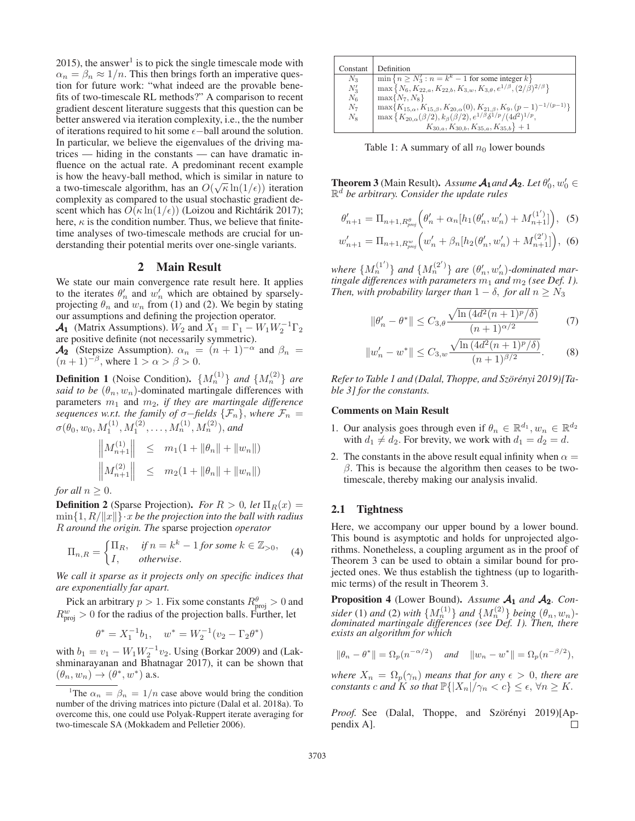$2015$ ), the answer<sup>1</sup> is to pick the single timescale mode with  $\alpha_n = \beta_n \approx 1/n$ . This then brings forth an imperative question for future work: "what indeed are the provable benefits of two-timescale RL methods?" A comparison to recent gradient descent literature suggests that this question can be better answered via iteration complexity, i.e., the the number of iterations required to hit some  $\epsilon$ -ball around the solution. In particular, we believe the eigenvalues of the driving matrices — hiding in the constants — can have dramatic influence on the actual rate. A predominant recent example is how the heavy-ball method, which is similar in nature to a two-timescale algorithm, has an  $O(\sqrt{\kappa} \ln(1/\epsilon))$  iteration complexity as compared to the usual stochastic gradient descent which has  $O(\kappa \ln(1/\epsilon))$  (Loizou and Richtárik 2017); here,  $\kappa$  is the condition number. Thus, we believe that finitetime analyses of two-timescale methods are crucial for understanding their potential merits over one-single variants.

## 2 Main Result

We state our main convergence rate result here. It applies to the iterates  $\theta'_n$  and  $w'_n$  which are obtained by sparselyprojecting  $\theta_n$  and  $w_n$  from (1) and (2). We begin by stating our assumptions and defining the projection operator.

**A<sub>1</sub>** (Matrix Assumptions).  $W_2$  and  $X_1 = \Gamma_1 - W_1 W_2^{-1} \Gamma_2$ <br>are positive definite (not necessarily symmetric) are positive definite (not necessarily symmetric).

 $\mathcal{A}_2$  (Stepsize Assumption).  $\alpha_n = (n + 1)^{-\alpha}$  and  $\beta_n =$  $(n+1)^{-\beta}$ , where  $1 > \alpha > \beta > 0$ .

**Definition 1** (Noise Condition).  $\{M_n^{(1)}\}$  *and*  $\{M_n^{(2)}\}$  *are said to be*  $(\theta_n, w_n)$ -dominated martingale differences with parameters  $m_1$  and  $m_2$ , if they are martingale difference *sequences w.r.t. the family of*  $\sigma$ −*fields*  $\{\mathcal{F}_n\}$ *, where*  $\mathcal{F}_n =$  $\sigma(\theta_0, w_0, M_1^{(1)}, M_1^{(2)}, \ldots, M_n^{(1)}, M_n^{(2)}),$  and

$$
\begin{aligned}\n\left\| M_{n+1}^{(1)} \right\| &\leq m_1(1 + \|\theta_n\| + \|w_n\|) \\
\left\| M_{n+1}^{(2)} \right\| &\leq m_2(1 + \|\theta_n\| + \|w_n\|)\n\end{aligned}
$$

*for all*  $n \geq 0$ .

**Definition 2** (Sparse Projection). *For*  $R > 0$ , let  $\Pi_R(x) =$  $\min\{1, R/\|x\|\}\cdot x$  *be the projection into the ball with radius* R *around the origin. The* sparse projection *operator*

$$
\Pi_{n,R} = \begin{cases} \Pi_R, & \text{if } n = k^k - 1 \text{ for some } k \in \mathbb{Z}_{> 0}, \\ I, & \text{otherwise.} \end{cases} \tag{4}
$$

*We call it sparse as it projects only on specific indices that are exponentially far apart.*

Pick an arbitrary  $p > 1$ . Fix some constants  $R_{\text{proj}}^{\theta} > 0$  and  $R_{\text{proj}}^w > 0$  for the radius of the projection balls. Further, let

$$
\theta^* = X_1^{-1}b_1, \quad w^* = W_2^{-1}(v_2 - \Gamma_2 \theta^*)
$$

with  $b_1 = v_1 - W_1 W_2^{-1} v_2$ . Using (Borkar 2009) and (Lak-<br>shminarayanan and Bhatnagar 2017) it can be shown that shminarayanan and Bhatnagar 2017), it can be shown that  $(\theta_n, w_n) \rightarrow (\theta^*, w^*)$  a.s.

| Constant | Definition                                                                                            |
|----------|-------------------------------------------------------------------------------------------------------|
| $N_3$    | $\min\{n \geq N_3': n = k^k - 1 \text{ for some integer } k\}$                                        |
| $N_3'$   | $\max\left\{N_6, K_{22,a}, K_{22,b}, K_{3,w}, K_{3,\theta}, e^{1/\beta}, (2/\beta)^{2/\beta}\right\}$ |
| $N_6$    | $\max\{N_7, N_8\}$                                                                                    |
| $N_7$    | $\max\{K_{15,\alpha}, K_{15,\beta}, K_{20,\alpha}(0), K_{21,\beta}, K_9, (p-1)^{-1/(p-1)}\}$          |
| $N_8$    | $\max\left\{K_{20,\alpha}(\beta/2), k_{\beta}(\beta/2), e^{1/\beta}\delta^{1/p}/(4d^2)^{1/p}\right\}$ |
|          | $K_{30,a}, K_{30,b}, K_{35,a}, K_{35,b}$ + 1                                                          |

Table 1: A summary of all  $n_0$  lower bounds

**Theorem 3** (Main Result). *Assume*  $A_1$  *and*  $A_2$ *. Let*  $\theta'_0$ *,*  $w'_0 \in \mathbb{R}^d$  be arbitrary Consider the undate rules  $\mathbb{R}^d$  *be arbitrary. Consider the update rules* 

$$
\theta'_{n+1} = \Pi_{n+1, R^{\theta}_{proj}} \Big( \theta'_{n} + \alpha_{n} [h_1(\theta'_{n}, w'_{n}) + M^{(1')}_{n+1}] \Big), \tag{5}
$$

$$
w'_{n+1} = \Pi_{n+1, R^{w}_{proj}} \Big( w'_{n} + \beta_n [h_2(\theta'_n, w'_n) + M_{n+1}^{(2')}] \Big), \tag{6}
$$

*where*  ${M_n^{(1)}}$  *and*  ${M_n^{(2')}}$  *are*  $(\theta'_n, w'_n)$ *-dominated martingale differences with parameters*  $m_1$  *and*  $m_2$  *(see Def. 1). Then, with probability larger than*  $1 - \delta$ , *for all*  $n \geq N_3$ 

$$
\|\theta_n' - \theta^*\| \le C_{3,\theta} \frac{\sqrt{\ln\left(4d^2(n+1)^p/\delta\right)}}{(n+1)^{\alpha/2}} \tag{7}
$$

$$
||w'_n - w^*|| \le C_{3,w} \frac{\sqrt{\ln\left(4d^2(n+1)^p/\delta\right)}}{(n+1)^{\beta/2}}.
$$
 (8)

*Refer to Table 1 and (Dalal, Thoppe, and Szörényi 2019)[Table 3] for the constants.*

#### Comments on Main Result

- 1. Our analysis goes through even if  $\theta_n \in \mathbb{R}^{d_1}, w_n \in \mathbb{R}^{d_2}$ with  $d_1 \neq d_2$ . For brevity, we work with  $d_1 = d_2 = d$ .
- 2. The constants in the above result equal infinity when  $\alpha =$  $\beta$ . This is because the algorithm then ceases to be twotimescale, thereby making our analysis invalid.

#### 2.1 Tightness

Here, we accompany our upper bound by a lower bound. This bound is asymptotic and holds for unprojected algorithms. Nonetheless, a coupling argument as in the proof of Theorem 3 can be used to obtain a similar bound for projected ones. We thus establish the tightness (up to logarithmic terms) of the result in Theorem 3.

Proposition 4 (Lower Bound). Assume  $A_1$  and  $A_2$ . Con*sider* (1) and (2) with  $\{M_n^{(1)}\}$  and  $\{M_n^{(2)}\}$  being  $(\theta_n, w_n)$ -<br>dominated martingale differences (see Def. 1). Then, there *exists an algorithm for which*

$$
\|\theta_n - \theta^*\| = \Omega_p(n^{-\alpha/2})
$$
 and  $\|w_n - w^*\| = \Omega_p(n^{-\beta/2}),$ 

*where*  $X_n = \Omega_p(\gamma_n)$  *means that for any*  $\epsilon > 0$ *, there are constants c* and K so that  $\mathbb{P}\{|X_n|/\gamma_n < c\} \leq \epsilon, \forall n \geq K$ .

Proof. See (Dalal, Thoppe, and Szörényi 2019)[Appendix A].  $\Box$ 

<sup>&</sup>lt;sup>1</sup>The  $\alpha_n = \beta_n = 1/n$  case above would bring the condition number of the driving matrices into picture (Dalal et al. 2018a). To overcome this, one could use Polyak-Ruppert iterate averaging for two-timescale SA (Mokkadem and Pelletier 2006).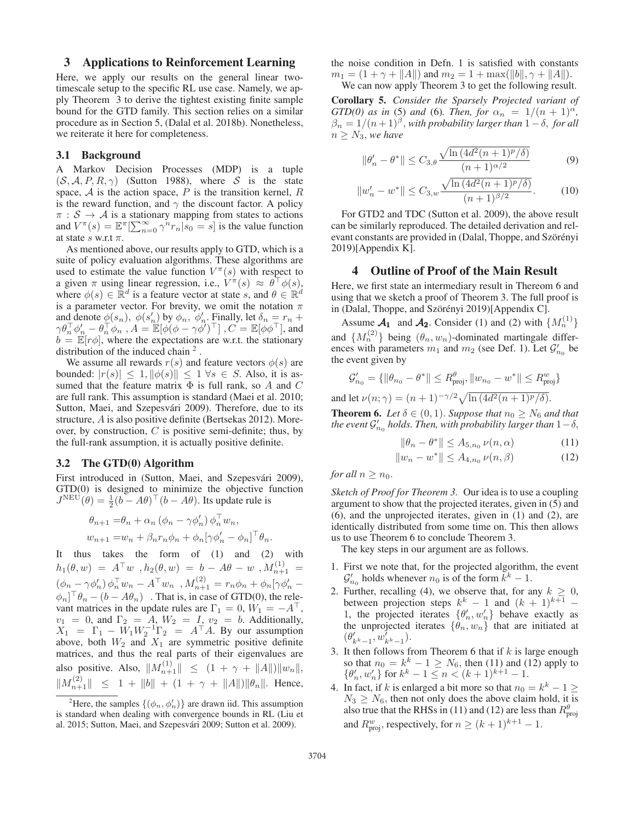## 3 Applications to Reinforcement Learning

Here, we apply our results on the general linear twotimescale setup to the specific RL use case. Namely, we apply Theorem 3 to derive the tightest existing finite sample bound for the GTD family. This section relies on a similar procedure as in Section 5, (Dalal et al. 2018b). Nonetheless, we reiterate it here for completeness.

#### 3.1 Background

A Markov Decision Processes (MDP) is a tuple  $(S, A, P, R, \gamma)$  (Sutton 1988), where S is the state space,  $A$  is the action space,  $P$  is the transition kernel,  $R$ is the reward function, and  $\gamma$  the discount factor. A policy  $\pi : \mathcal{S} \to \mathcal{A}$  is a stationary mapping from states to actions and  $V^{\pi}(s) = \mathbb{E}^{\pi} \left[\sum_{n=0}^{\infty} \gamma^{n} r_{n} | s_{0} = s\right]$  is the value function at state s w r t  $\pi$ at state s w.r.t  $\pi$ .

As mentioned above, our results apply to GTD, which is a suite of policy evaluation algorithms. These algorithms are used to estimate the value function  $V^{\pi}(s)$  with respect to a given  $\pi$  using linear regression, i.e.,  $V^{\pi}(s) \approx \theta^{\top} \phi(s)$ , where  $\phi(s) \in \mathbb{R}^d$  is a feature vector at state s, and  $\theta \in \mathbb{R}^d$ is a parameter vector. For brevity, we omit the notation  $\pi$ and denote  $\phi(s_n)$ ,  $\phi(s'_n)$  by  $\phi_n$ ,  $\phi'_n$ . Finally, let  $\delta_n = r_n + \delta_n$  $\gamma \theta_n^{\top} \phi_n' - \theta_n^{\top} \phi_n, A = \mathbb{E}[\phi(\phi - \gamma \phi')^{\top}]$  ,  $C = \mathbb{E}[\phi \phi^{\top}]$ , and  $b = \mathbb{E}[r\phi]$ , where the expectations are w.r.t. the stationary distribution of the induced chain  $2$ .

We assume all rewards  $r(s)$  and feature vectors  $\phi(s)$  are bounded:  $|r(s)| \leq 1, ||\phi(s)|| \leq 1 \forall s \in S$ . Also, it is assumed that the feature matrix  $\Phi$  is full rank, so A and C are full rank. This assumption is standard (Maei et al. 2010; Sutton, Maei, and Szepesvári 2009). Therefore, due to its structure, A is also positive definite (Bertsekas 2012). Moreover, by construction,  $C$  is positive semi-definite; thus, by the full-rank assumption, it is actually positive definite.

#### 3.2 The GTD(0) Algorithm

First introduced in (Sutton, Maei, and Szepesvári 2009), GTD(0) is designed to minimize the objective function  $J^{\text{NEU}}(\hat{\theta}) = \frac{1}{2}(b - A\theta)^{\top}(b - A\theta)$ . Its update rule is

$$
\theta_{n+1} = \theta_n + \alpha_n (\phi_n - \gamma \phi'_n) \phi_n^{\top} w_n,
$$
  

$$
w_{n+1} = w_n + \beta_n r_n \phi_n + \phi_n [\gamma \phi'_n - \phi_n]^{\top} \theta_n.
$$

It thus takes the form of (1) and (2) with  $h_1(\theta, w) = A^{\top} w$ ,  $h_2(\theta, w) = b - A\theta - w$ ,  $M_{n+1}^{(1)} =$  $(\phi_n - \gamma \phi_n') \phi_n^{\top} w_n - A^{\top} w_n^{\top}, M_{n+1}^{(2)} = r_n \phi_n + \phi_n [\gamma \phi_n' - A^{\top} w_n^{\top}]$  $\phi_n$ ]<sup>T</sup> $\theta_n - (b - A\theta_n)$  . That is, in case of GTD(0), the relevant matrices in the update rules are  $\Gamma_1 = 0$ ,  $W_1 = -A^\top$ ,  $v_1 = 0$ , and  $\Gamma_2 = A$ ,  $W_2 = I$ ,  $v_2 = b$ . Additionally,  $X_1 = \Gamma_1 - W_1 W_2^{-1} \Gamma_2 = A^\top A$ . By our assumption above hoth  $W_2$  and  $X_3$  are symmetric positive definite above, both  $W_2$  and  $X_1$  are symmetric positive definite<br>matrices, and thus the real parts of their eigenvalues are matrices, and thus the real parts of their eigenvalues are also positive. Also,  $||M_{n+1}^{(1)}|| \le (1 + \gamma + ||A||) ||w_n||$ ,  $||M_{n+1}^{(2)}|| \le 1 + ||b|| + (1 + \gamma + ||A||) ||\theta_n||$ . Hence,

the noise condition in Defn. 1 is satisfied with constants  $m_1 = (1 + \gamma + ||A||)$  and  $m_2 = 1 + \max(||b||, \gamma + ||A||)$ .<br>We can now apply Theorem 3 to get the following result We can now apply Theorem 3 to get the following result.

Corollary 5. *Consider the Sparsely Projected variant of GTD(0)* as in (5) and (6). Then, for  $\alpha_n = 1/(n+1)^{\alpha}$ ,  $\beta_n = 1/(n+1)^\beta$ , *with probability larger than*  $1-\delta$ , *for all*  $n \geq N_3$ , we have

$$
\|\theta_n' - \theta^*\| \le C_{3,\theta} \frac{\sqrt{\ln\left(4d^2(n+1)^p/\delta\right)}}{(n+1)^{\alpha/2}} \tag{9}
$$

$$
||w'_n - w^*|| \le C_{3,w} \frac{\sqrt{\ln\left(4d^2(n+1)^p/\delta\right)}}{(n+1)^{\beta/2}}.
$$
 (10)

For GTD2 and TDC (Sutton et al. 2009), the above result can be similarly reproduced. The detailed derivation and relevant constants are provided in (Dalal, Thoppe, and Szörényi 2019)[Appendix K].

### 4 Outline of Proof of the Main Result

Here, we first state an intermediary result in Thereom 6 and using that we sketch a proof of Theorem 3. The full proof is in (Dalal, Thoppe, and Szörényi 2019)[Appendix C].

Assume  $\mathcal{A}_1$  and  $\mathcal{A}_2$ . Consider (1) and (2) with  $\{M_n^{(1)}\}$ and  $\{M_n^{(2)}\}\;$  being  $(\theta_n, w_n)$ -dominated martingale differences with parameters  $m_1$  and  $m_2$  (see Def. 1). Let  $\mathcal{G}'_{n_0}$  be the event given by the event given by

$$
\mathcal{G}'_{n_0}=\{\|\theta_{n_0}-\theta^*\|\leq R^\theta_{\text{proj}}, \|w_{n_0}-w^*\|\leq R^\t w_{\text{proj}}\}
$$

and let  $\nu(n; \gamma) = (n + 1)^{-\gamma/2} \sqrt{\ln(4d^2(n + 1)^p/\delta)}$ .

**Theorem 6.** *Let*  $\delta \in (0, 1)$ *. Suppose that*  $n_0 \geq N_6$  *and that the event*  $\mathcal{G}'_{n_0}$  *holds. Then, with probability larger than*  $1-\delta$ ,

$$
\|\theta_n - \theta^*\| \le A_{5,n_0} \nu(n, \alpha) \tag{11}
$$

$$
||w_n - w^*|| \le A_{4,n_0} \nu(n,\beta)
$$
 (12)

*for all*  $n \geq n_0$ *.* 

*Sketch of Proof for Theorem 3.* Our idea is to use a coupling argument to show that the projected iterates, given in (5) and (6), and the unprojected iterates, given in (1) and (2), are identically distributed from some time on. This then allows us to use Theorem 6 to conclude Theorem 3.

The key steps in our argument are as follows.

- 1. First we note that, for the projected algorithm, the event  $\mathcal{G}'_{n_0}$  holds whenever  $n_0$  is of the form  $\tilde{k}^k - 1$ .
- 2. Further, recalling (4), we observe that, for any  $k \geq 0$ , between projection steps  $k^k - 1$  and  $(k + 1)^{k+1}$  – 1, the projected iterates  $\{\theta'_n, w'_n\}$  behave exactly as the unprojected iterates  $\{\theta_n, w_n\}$  that are initiated at  $(\theta'_{k^k-1}, \omega'_{k^k-1}).$ <br>It then follows for
- 3. It then follows from Theorem 6 that if  $k$  is large enough so that  $n_0 = k^k - 1 \ge N_6$ , then (11) and (12) apply to  $\{\theta'_n, w'_n\}$  for  $k^k - 1 \le n < (k+1)^{k+1} - 1$ .
- 4. In fact, if k is enlarged a bit more so that  $n_0 = k^k 1 \geq$  $N_3 \ge N_6$ , then not only does the above claim hold, it is<br>also true that the PHSs in (11) and (12) are less than  $R^{\theta}$ also true that the RHSs in (11) and (12) are less than  $R_{\text{proj}}^{\theta}$ and  $R_{\text{proj}}^w$ , respectively, for  $n \geq (k+1)^{k+1} - 1$ .

<sup>&</sup>lt;sup>2</sup>Here, the samples  $\{(\phi_n, \phi'_n)\}\$ are drawn iid. This assumption is standard when dealing with convergence bounds in RL (Liu et al. 2015; Sutton, Maei, and Szepesvári 2009; Sutton et al. 2009).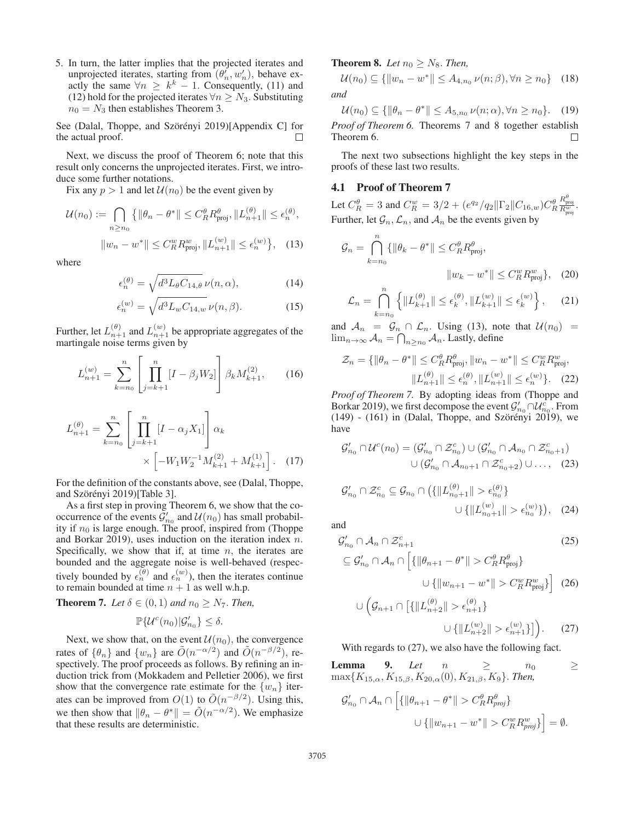5. In turn, the latter implies that the projected iterates and unprojected iterates, starting from  $(\theta_n', w_n')$ , behave exactly the same  $\forall n \geq k^k - 1$ . Consequently, (11) and (12) hold for the projected iterates  $\forall n \geq N_3$ . Substituting  $n_0 = N_3$  then establishes Theorem 3.

See (Dalal, Thoppe, and Szörényi 2019)[Appendix C] for the actual proof.  $\Box$ 

Next, we discuss the proof of Theorem 6; note that this result only concerns the unprojected iterates. First, we introduce some further notations.

Fix any  $p > 1$  and let  $\mathcal{U}(n_0)$  be the event given by

$$
\mathcal{U}(n_0) := \bigcap_{n \ge n_0} \left\{ \|\theta_n - \theta^*\| \le C_R^{\theta} R_{\text{proj}}^{\theta}, \|L_{n+1}^{(\theta)}\| \le \epsilon_n^{(\theta)}, \|\omega_n - w^*\| \le C_R^w R_{\text{proj}}^w, \|L_{n+1}^{(w)}\| \le \epsilon_n^{(w)} \right\}, \quad (13)
$$

where

$$
\epsilon_n^{(\theta)} = \sqrt{d^3 L_\theta C_{14,\theta}} \,\nu(n,\alpha),\tag{14}
$$

$$
\epsilon_n^{(w)} = \sqrt{d^3 L_w C_{14,w}} \nu(n, \beta). \tag{15}
$$

Further, let  $L_{n+1}^{(\theta)}$  and  $L_{n+1}^{(w)}$  be appropriate aggregates of the martingale noise terms given by martingale noise terms given by

$$
L_{n+1}^{(w)} = \sum_{k=n_0}^{n} \left[ \prod_{j=k+1}^{n} [I - \beta_j W_2] \right] \beta_k M_{k+1}^{(2)}, \qquad (16)
$$

$$
L_{n+1}^{(\theta)} = \sum_{k=n_0}^{n} \left[ \prod_{j=k+1}^{n} [I - \alpha_j X_1] \right] \alpha_k
$$
  
 
$$
\times \left[ -W_1 W_2^{-1} M_{k+1}^{(2)} + M_{k+1}^{(1)} \right]. \quad (17)
$$

For the definition of the constants above, see (Dalal, Thoppe, and Szörényi 2019)[Table 3].

As a first step in proving Theorem 6, we show that the cooccurrence of the events  $\mathcal{G}'_{n_0}$  and  $\mathcal{U}(n_0)$  has small probabil-<br>ity if  $n_0$  is large enough. The proof inspired from (Thome ity if  $n_0$  is large enough. The proof, inspired from (Thoppe and Borkar 2019), uses induction on the iteration index n. Specifically, we show that if, at time  $n$ , the iterates are bounded and the aggregate noise is well-behaved (respectively bounded by  $\epsilon_n^{(\theta)}$  and  $\epsilon_n^{(w)}$ ), then the iterates continue to remain bounded at time  $n + 1$  as well w.h.p.

**Theorem 7.** Let 
$$
\delta \in (0, 1)
$$
 and  $n_0 \geq N_7$ . Then,

$$
\mathbb{P}\{\mathcal{U}^c(n_0)|\mathcal{G}'_{n_0}\}\leq \delta.
$$

Next, we show that, on the event  $\mathcal{U}(n_0)$ , the convergence rates of  $\{\theta_n\}$  and  $\{w_n\}$  are  $\tilde{O}(n^{-\alpha/2})$  and  $\tilde{O}(n^{-\beta/2})$ , respectively. The proof proceeds as follows. By refining an induction trick from (Mokkadem and Pelletier 2006), we first show that the convergence rate estimate for the  $\{w_n\}$  iterates can be improved from  $O(1)$  to  $\tilde{O}(n^{-\beta/2})$ . Using this, we then show that  $\|\theta_n - \theta^*\| = \tilde{O}(n^{-\alpha/2})$ . We emphasize that these results are deterministic.

**Theorem 8.** *Let*  $n_0 \geq N_8$ *. Then,* 

$$
\mathcal{U}(n_0) \subseteq \{ \|w_n - w^*\| \le A_{4,n_0} \nu(n;\beta), \forall n \ge n_0 \} \quad (18)
$$
  
and

 $\mathcal{U}(n_0) \subseteq \{ \|\theta_n - \theta^*\| \leq A_{5,n_0} \nu(n; \alpha), \forall n \geq n_0 \}.$  (19) *Proof of Theorem 6.* Theorems 7 and 8 together establish Theorem 6.  $\Box$ 

The next two subsections highlight the key steps in the proofs of these last two results.

## 4.1 Proof of Theorem 7

Let  $C_R^{\theta} = 3$  and  $C_R^w = 3/2 + (e^{q_2}/q_2 || \Gamma_2 || C_{16,w}) C_R^{\theta}$  $\frac{R_{\text{proj}}^{\theta}}{R_{\text{proj}}^w}$ . Further, let  $\mathcal{G}_n$ ,  $\mathcal{L}_n$ , and  $\mathcal{A}_n$  be the events given by

$$
\mathcal{G}_n = \bigcap_{k=n_0}^n \{ \|\theta_k - \theta^*\| \le C_R^{\theta} R_{\text{proj}}^{\theta},
$$
  

$$
\|w_k - w^*\| \le C_R^w R_{\text{proj}}^w \}, \quad (20)
$$

$$
\mathcal{L}_n = \bigcap_{k=n_0}^n \left\{ \|L_{k+1}^{(\theta)}\| \le \epsilon_k^{(\theta)}, \|L_{k+1}^{(w)}\| \le \epsilon_k^{(w)} \right\},\qquad(21)
$$

and  $\mathcal{A}_n = \mathcal{G}_n \cap \mathcal{L}_n$ . Using (13), note that  $\mathcal{U}(n_0) =$  $\lim_{n\to\infty} \mathcal{A}_n = \bigcap_{n\geq n_0} \mathcal{A}_n$ . Lastly, define

$$
\mathcal{Z}_n = \{ \|\theta_n - \theta^*\| \le C_R^{\theta} R_{\text{proj}}^{\theta}, \|w_n - w^*\| \le C_R^w R_{\text{proj}}^w, \|L_{n+1}^{(\theta)}\| \le \epsilon_n^{(\theta)}, \|L_{n+1}^{(w)}\| \le \epsilon_n^{(w)} \}. \tag{22}
$$
  
*Proof of Theorem 7.* By adopting ideas from (Thope and

Borkar 2019), we first decompose the event  $\mathcal{G}'_{n_0} \cap \mathcal{U}_{n_0}^c$ . From  $(149)$  -  $(161)$  in (Dalal, Thoppe, and Szörényi 2019), we have

$$
\mathcal{G}'_{n_0} \cap \mathcal{U}^c(n_0) = (\mathcal{G}'_{n_0} \cap \mathcal{Z}^c_{n_0}) \cup (\mathcal{G}'_{n_0} \cap \mathcal{A}_{n_0} \cap \mathcal{Z}^c_{n_0+1})
$$

$$
\cup (\mathcal{G}'_{n_0} \cap \mathcal{A}_{n_0+1} \cap \mathcal{Z}^c_{n_0+2}) \cup \dots, (23)
$$

$$
\mathcal{G}'_{n_0} \cap \mathcal{Z}_{n_0}^c \subseteq \mathcal{G}_{n_0} \cap \left( \{ \| L_{n_0+1}^{(\theta)} \| > \epsilon_{n_0}^{(\theta)} \} \cup \{ \| L_{n_0+1}^{(w)} \| > \epsilon_{n_0}^{(w)} \} \right), \quad (24)
$$

and

$$
\mathcal{G}'_{n_0} \cap \mathcal{A}_n \cap \mathcal{Z}_{n+1}^c
$$
\n
$$
\subseteq \mathcal{G}'_{n_0} \cap \mathcal{A}_n \cap \left[ \{ \|\theta_{n+1} - \theta^* \| > C_R^{\theta} R_{\text{proj}}^{\theta} \} \right]
$$
\n
$$
\cup \{ \|w_{n+1} - w^* \| > C_R^w R_{\text{proj}}^w \} \right] (26)
$$

$$
\bigcup \left( \mathcal{G}_{n+1} \cap \left[ \{ \| L_{n+2}^{(\theta)} \| > \epsilon_{n+1}^{(\theta)} \} \right] \right) \cup \{ \| L_{n+2}^{(w)} \| > \epsilon_{n+1}^{(w)} \} \right). \tag{27}
$$

With regards to  $(27)$ , we also have the following fact.

**Lemma** 9. *Let*  $n \geq n_0$   $\geq$  $\max\{K_{15,\alpha}, K_{15,\beta}, K_{20,\alpha}(0), K_{21,\beta}, K_9\}$ . *Then,* 

$$
\mathcal{G}'_{n_0} \cap \mathcal{A}_n \cap \left[ \{ \left\| \theta_{n+1} - \theta^* \right\| > C_R^{\theta} R_{proj}^{\theta} \} \right]
$$
  

$$
\cup \{ \left\| w_{n+1} - w^* \right\| > C_R^w R_{proj}^w \} \right] = \emptyset.
$$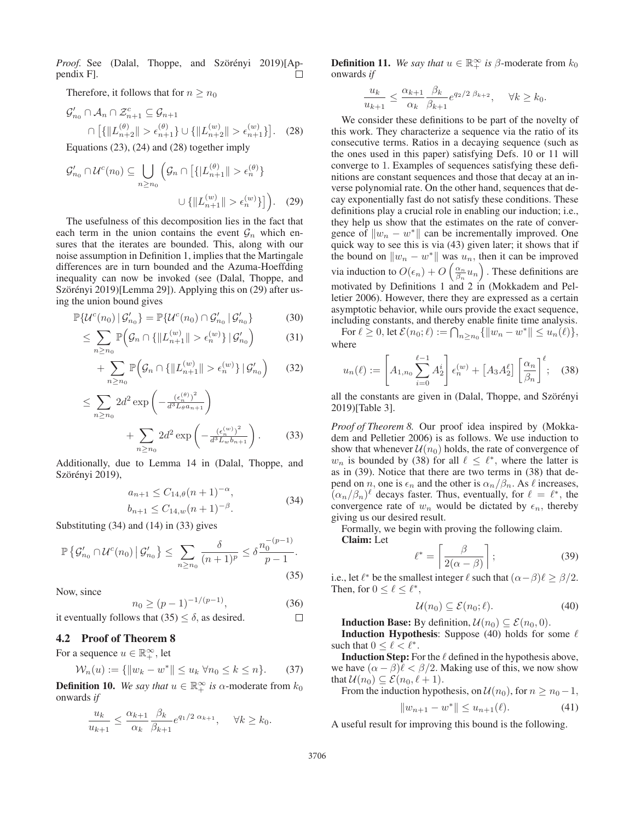*Proof.* See (Dalal, Thoppe, and Szörényi 2019)[Appendix F].  $\Box$ 

Therefore, it follows that for  $n \geq n_0$ 

$$
\mathcal{G}'_{n_0} \cap \mathcal{A}_n \cap \mathcal{Z}_{n+1}^c \subseteq \mathcal{G}_{n+1}
$$

$$
\cap \left[ \{ ||L_{n+2}^{(\theta)}|| > \epsilon_{n+1}^{(\theta)} \} \cup \{ ||L_{n+2}^{(w)}|| > \epsilon_{n+1}^{(w)} \} \right].
$$
 (28)

Equations (23), (24) and (28) together imply

$$
\mathcal{G}'_{n_0} \cap \mathcal{U}^c(n_0) \subseteq \bigcup_{n \ge n_0} \left( \mathcal{G}_n \cap \left[ \{ |L_{n+1}^{(\theta)}| > \epsilon_n^{(\theta)} \} \right] \right)
$$

$$
\cup \{ ||L_{n+1}^{(w)}|| > \epsilon_n^{(w)} \} \right]. \quad (29)
$$

The usefulness of this decomposition lies in the fact that each term in the union contains the event  $\mathcal{G}_n$  which ensures that the iterates are bounded. This, along with our noise assumption in Definition 1, implies that the Martingale differences are in turn bounded and the Azuma-Hoeffding inequality can now be invoked (see (Dalal, Thoppe, and Szörényi 2019)[Lemma 29]). Applying this on (29) after using the union bound gives

$$
\mathbb{P}\{\mathcal{U}^{c}(n_{0})\,|\,\mathcal{G}'_{n_{0}}\} = \mathbb{P}\{\mathcal{U}^{c}(n_{0})\cap\mathcal{G}'_{n_{0}}\,|\,\mathcal{G}'_{n_{0}}\}\tag{30}
$$

$$
\leq \sum_{n\geq n_0} \mathbb{P}\Big(\mathcal{G}_n \cap \{\|L_{n+1}^{(w)}\| > \epsilon_n^{(w)}\} \,|\, \mathcal{G}_{n_0}'\Big) \tag{31}
$$

$$
+\sum_{n\geq n_0}\mathbb{P}\Big(\mathcal{G}_n\cap\{\|L_{n+1}^{(w)}\|>\epsilon_n^{(w)}\}\,|\,\mathcal{G}_{n_0}'\Big)\qquad(32)
$$

$$
\leq \sum_{n\geq n_0} 2d^2 \exp\left(-\frac{(\epsilon_n^{(\theta)})^2}{d^3 L_\theta a_{n+1}}\right) + \sum_{n\geq n_0} 2d^2 \exp\left(-\frac{(\epsilon_n^{(w)})^2}{d^3 L_w b_{n+1}}\right).
$$
 (33)

Additionally, due to Lemma 14 in (Dalal, Thoppe, and Szörényi 2019),

$$
a_{n+1} \le C_{14,\theta}(n+1)^{-\alpha},
$$
  
\n
$$
b_{n+1} \le C_{14,w}(n+1)^{-\beta}.
$$
\n(34)

Substituting (34) and (14) in (33) gives

$$
\mathbb{P}\left\{\mathcal{G}_{n_0}' \cap \mathcal{U}^c(n_0) \, \middle| \, \mathcal{G}_{n_0}'\right\} \le \sum_{n \ge n_0} \frac{\delta}{(n+1)^p} \le \delta \frac{n_0^{-(p-1)}}{p-1}.
$$
\n(35)

Now, since

$$
n_0 \ge (p-1)^{-1/(p-1)},\tag{36}
$$

it eventually follows that  $(35) < \delta$ , as desired.

## 4.2 Proof of Theorem 8

For a sequence  $u \in \mathbb{R}_+^{\infty}$ , let

$$
\mathcal{W}_n(u) := \{ \|w_k - w^*\| \le u_k \ \forall n_0 \le k \le n \}. \tag{37}
$$

**Definition 10.** *We say that*  $u \in \mathbb{R}_+^{\infty}$  *is*  $\alpha$ -moderate from  $k_0$  onwards *if* onwards *if*

$$
\frac{u_k}{u_{k+1}} \le \frac{\alpha_{k+1}}{\alpha_k} \frac{\beta_k}{\beta_{k+1}} e^{q_1/2 \alpha_{k+1}}, \quad \forall k \ge k_0.
$$

**Definition 11.** *We say that*  $u \in \mathbb{R}_+^{\infty}$  *is*  $\beta$ -moderate from  $k_0$  onwards *if* onwards *if*

$$
\frac{u_k}{u_{k+1}} \le \frac{\alpha_{k+1}}{\alpha_k} \frac{\beta_k}{\beta_{k+1}} e^{q_2/2 \beta_{k+2}}, \quad \forall k \ge k_0.
$$

We consider these definitions to be part of the novelty of this work. They characterize a sequence via the ratio of its consecutive terms. Ratios in a decaying sequence (such as the ones used in this paper) satisfying Defs. 10 or 11 will converge to 1. Examples of sequences satisfying these definitions are constant sequences and those that decay at an inverse polynomial rate. On the other hand, sequences that decay exponentially fast do not satisfy these conditions. These definitions play a crucial role in enabling our induction; i.e., they help us show that the estimates on the rate of convergence of  $||w_n - w^*||$  can be incrementally improved. One quick way to see this is via (43) given later; it shows that if the bound on  $||w_n - w^*||$  was  $u_n$ , then it can be improved via induction to  $O(\epsilon_n) + O\left(\frac{\alpha_n}{\beta_n}u_n\right)$  . These definitions are motivated by Definitions 1 and 2 in (Mokkadem and Pelletier 2006). However, there they are expressed as a certain asymptotic behavior, while ours provide the exact sequence, including constants, and thereby enable finite time analysis.

For  $\ell \geq 0$ , let  $\mathcal{E}(n_0; \ell) := \bigcap_{n \geq n_0} \{ ||w_n - w^*|| \leq u_n(\ell) \},\$ where

$$
u_n(\ell) := \left[A_{1,n_0} \sum_{i=0}^{\ell-1} A_2^i \right] \epsilon_n^{(w)} + \left[A_3 A_2^{\ell} \right] \left[\frac{\alpha_n}{\beta_n}\right]^{\ell}; \quad (38)
$$

all the constants are given in (Dalal, Thoppe, and Szörényi 2019)[Table 3].

*Proof of Theorem 8.* Our proof idea inspired by (Mokkadem and Pelletier 2006) is as follows. We use induction to show that whenever  $\mathcal{U}(n_0)$  holds, the rate of convergence of  $w_n$  is bounded by (38) for all  $\ell \leq \ell^*$ , where the latter is as in (39). Notice that there are two terms in (38) that depend on n, one is  $\epsilon_n$  and the other is  $\alpha_n/\beta_n$ . As  $\ell$  increases,  $(\alpha_n/\beta_n)^\ell$  decays faster. Thus, eventually, for  $\ell = \ell^*$ , the convergence rate of  $w_n$  would be dictated by  $\epsilon_n$ , thereby giving us our desired result.

Formally, we begin with proving the following claim. Claim: Let

$$
\ell^* = \left\lceil \frac{\beta}{2(\alpha - \beta)} \right\rceil; \tag{39}
$$

i.e., let  $\ell^*$  be the smallest integer  $\ell$  such that  $(\alpha - \beta)\ell \geq \beta/2$ . Then, for  $0 \leq \ell \leq \ell^*$ ,

$$
\mathcal{U}(n_0) \subseteq \mathcal{E}(n_0; \ell). \tag{40}
$$

**Induction Base:** By definition,  $\mathcal{U}(n_0) \subseteq \mathcal{E}(n_0, 0)$ .

**Induction Hypothesis:** Suppose (40) holds for some  $\ell$ such that  $0 \leq \ell < \ell^*$ .

**Induction Step:** For the  $\ell$  defined in the hypothesis above, we have  $(\alpha - \beta)\ell < \beta/2$ . Making use of this, we now show that  $\mathcal{U}(n_0) \subseteq \mathcal{E}(n_0, \ell + 1)$ .

From the induction hypothesis, on  $\mathcal{U}(n_0)$ , for  $n \geq n_0 - 1$ ,

$$
||w_{n+1} - w^*|| \le u_{n+1}(\ell). \tag{41}
$$

A useful result for improving this bound is the following.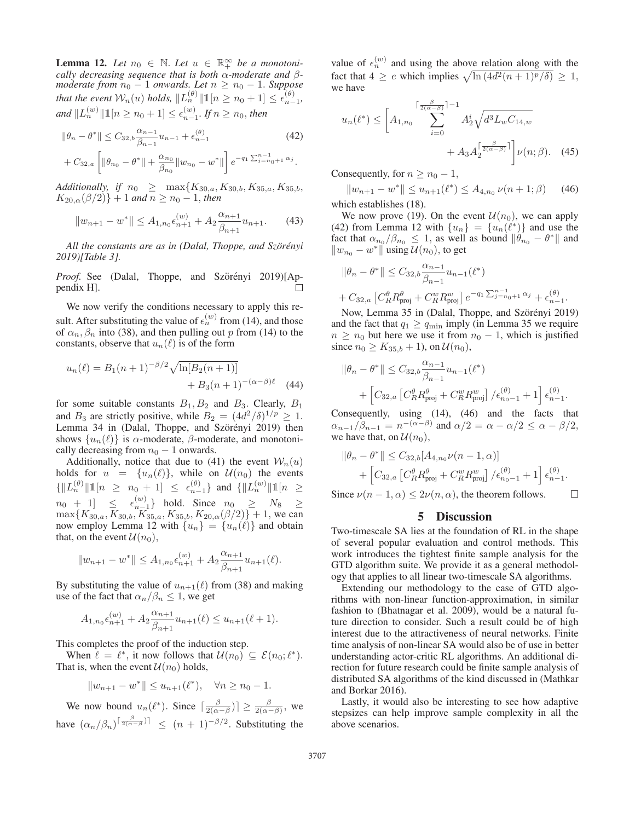**Lemma 12.** Let  $n_0 \in \mathbb{N}$ . Let  $u \in \mathbb{R}_+^{\infty}$  be a monotoni-<br>cally decreasing sequence that is both  $\alpha$ -moderate and  $\beta$ *cally decreasing sequence that is both*  $\alpha$ *-moderate and*  $\beta$ *-moderate from*  $n_0 - 1$  *onwards. Let*  $n \geq n_0 - 1$ *. Suppose that the event*  $W_n(u)$  *holds*,  $\|L_n^{(\theta)}\| \mathbb{1}[n \ge n_0 + 1] \le \epsilon_{n-1}^{(\theta)}$ , *and*  $||L_n^{(w)}|| \mathbb{1}[n \ge n_0 + 1] \le \epsilon_{n-1}^{(w)}$ . *If*  $n \ge n_0$ , *then* 

$$
\|\theta_n - \theta^*\| \le C_{32,b} \frac{\alpha_{n-1}}{\beta_{n-1}} u_{n-1} + \epsilon_{n-1}^{(\theta)} \tag{42}
$$
  
+  $C_{32,a} \left[ \|\theta_{n_0} - \theta^*\| + \frac{\alpha_{n_0}}{\beta_{n_0}} \|w_{n_0} - w^*\| \right] e^{-q_1 \sum_{j=n_0+1}^{n-1} \alpha_j}.$ 

*Additionally, if*  $n_0 \geq \max\{K_{30,a}, K_{30,b}, K_{35,a}, K_{35,b},$  $K_{20,\alpha}(\beta/2)+1$  *and*  $n \geq n_0-1$ , *then* 

$$
||w_{n+1} - w^*|| \le A_{1,n_0} \epsilon_{n+1}^{(w)} + A_2 \frac{\alpha_{n+1}}{\beta_{n+1}} u_{n+1}.
$$
 (43)

*All the constants are as in (Dalal, Thoppe, and Szörényi 2019)[Table 3].*

*Proof.* See (Dalal, Thoppe, and Szörényi 2019)[Appendix H].  $\Box$ 

We now verify the conditions necessary to apply this result. After substituting the value of  $\epsilon_n^{(w)}$  from (14), and those of  $\alpha_n, \beta_n$  into (38), and then pulling out p from (14) to the constants, observe that  $u_n(\ell)$  is of the form

$$
u_n(\ell) = B_1(n+1)^{-\beta/2} \sqrt{\ln[B_2(n+1)]}
$$
  
+  $B_3(n+1)^{-(\alpha-\beta)\ell}$  (44)

for some suitable constants  $B_1, B_2$  and  $B_3$ . Clearly,  $B_1$ and  $B_3$  are strictly positive, while  $B_2 = (4d^2/\delta)^{1/p} \ge 1$ . Lemma 34 in (Dalal, Thoppe, and Szörényi 2019) then shows  $\{u_n(\ell)\}\$ is  $\alpha$ -moderate,  $\beta$ -moderate, and monotonically decreasing from  $n_0 - 1$  onwards.

Additionally, notice that due to (41) the event  $W_n(u)$ holds for  $u = \{u_n(\ell)\}\$ , while on  $\mathcal{U}(n_0)$  the events  $\{\|L_n^{(\theta)}\| \mathbb{1}[n \ge n_0 + 1] \le \epsilon_{n-1}^{(\theta)}\}$  and  $\{\|L_n^{(w)}\| \mathbb{1}[n \ge n_0 + 1] \le \epsilon_{n-1}^{(w)}\}$  hold. Since  $n_0 \ge N_8 \ge \max\{K_{20}}$   $K_{20}$ ,  $K_{21}$   $K_{22}$ ,  $K_{25}$ ,  $K_{26}$ ,  $(\beta/2)\} + 1$  we can  $\max\{K_{30,a}, K_{30,b}, K_{35,a}, K_{35,b}, K_{20,\alpha}(\beta/2)\} + 1$ , we can now employ Lemma 12 with  $\{u_n\} = \{u_n(\ell)\}\$ and obtain that, on the event  $\mathcal{U}(n_0)$ ,

$$
||w_{n+1} - w^*|| \leq A_{1,n_0} \epsilon_{n+1}^{(w)} + A_2 \frac{\alpha_{n+1}}{\beta_{n+1}} u_{n+1}(\ell).
$$

By substituting the value of  $u_{n+1}(\ell)$  from (38) and making use of the fact that  $\alpha_n/\beta_n \leq 1$ , we get

$$
A_{1,n_0} \epsilon_{n+1}^{(w)} + A_2 \frac{\alpha_{n+1}}{\beta_{n+1}} u_{n+1}(\ell) \le u_{n+1}(\ell+1).
$$

This completes the proof of the induction step.

When  $\ell = \ell^*$ , it now follows that  $\mathcal{U}(n_0) \subseteq \mathcal{E}(n_0; \ell^*)$ . That is, when the event  $\mathcal{U}(n_0)$  holds,

$$
||w_{n+1} - w^*|| \le u_{n+1}(\ell^*), \quad \forall n \ge n_0 - 1.
$$

We now bound  $u_n(\ell^*)$ . Since  $\lceil \frac{\beta}{2(\alpha-\beta)} \rceil \ge \frac{\beta}{2(\alpha-\beta)}$ , we have  $(\alpha_n/\beta_n)^{\lceil \frac{\beta}{2(\alpha-\beta)}\rceil} \leq (n+1)^{-\beta/2}$ . Substituting the

value of  $\epsilon_n^{(w)}$  and using the above relation along with the fact that  $4 \geq e$  which implies  $\sqrt{\ln (4d^2(n+1)^p/\delta)} \geq 1$ , we have

$$
u_n(\ell^*) \le \left[A_{1,n_0} \sum_{i=0}^{\lceil \frac{\beta}{2(\alpha-\beta)} \rceil - 1} A_2^i \sqrt{d^3 L_w C_{14,w}} + A_3 A_2^{\lceil \frac{\beta}{2(\alpha-\beta)} \rceil} \right] \nu(n;\beta). \quad (45)
$$

Consequently, for  $n \geq n_0 - 1$ ,

$$
||w_{n+1} - w^*|| \le u_{n+1}(\ell^*) \le A_{4,n_0} \nu(n+1;\beta)
$$
 (46)  
which establishes (18).

We now prove (19). On the event  $\mathcal{U}(n_0)$ , we can apply (42) from Lemma 12 with  $\{u_n\} = \{u_n(\ell^*)\}$  and use the fact that  $\alpha_{n_0}/\beta_{n_0} \leq 1$ , as well as bound  $\|\hat{\theta}_{n_0} - \theta^*\|$  and  $||w_{n_0} - w^*||$  using  $\mathcal{U}(n_0)$ , to get

$$
\|\theta_n - \theta^*\| \le C_{32,b} \frac{\alpha_{n-1}}{\beta_{n-1}} u_{n-1}(\ell^*)
$$
  
+  $C_{32,a} \left[ C_R^{\theta} R_{\text{proj}}^{\theta} + C_R^w R_{\text{proj}}^w \right] e^{-q_1 \sum_{j=n_0+1}^{n-1} \alpha_j} + \epsilon_{n-1}^{(\theta)}$ .  
Now, Lemma 35 in (Dala, Thoppe, and Szörényi 2019)

and the fact that  $q_1 \ge q_{\text{min}}$  imply (in Lemma 35 we require  $n \geq n_0$  but here we use it from  $n_0 - 1$ , which is justified since  $n_0 \ge K_{35,b} + 1$ , on  $\mathcal{U}(n_0)$ ,

$$
\|\theta_n - \theta^*\| \leq C_{32,b} \frac{\alpha_{n-1}}{\beta_{n-1}} u_{n-1}(\ell^*)
$$
  
+ 
$$
\left[C_{32,a} \left[C_R^{\theta} R_{\text{proj}}^{\theta} + C_R^w R_{\text{proj}}^w \right] / \epsilon_{n_0-1}^{(\theta)} + 1\right] \epsilon_{n-1}^{(\theta)}.
$$

Consequently, using (14), (46) and the facts that  $\alpha_{n-1}/\beta_{n-1} = n^{-(\alpha-\beta)}$  and  $\alpha/2 = \alpha - \alpha/2 \leq \alpha - \beta/2$ , we have that, on  $\mathcal{U}(n_0)$ ,

$$
\|\theta_n - \theta^*\| \leq C_{32,b}[A_{4,n_0}\nu(n-1,\alpha)] + [C_{32,a} [C_R^{\theta} R_{\text{proj}}^{\theta} + C_R^w R_{\text{proj}}^w] / \epsilon_{n_0-1}^{(\theta)} + 1] \epsilon_{n-1}^{(\theta)}.
$$

Since  $\nu(n-1,\alpha) \leq 2\nu(n,\alpha)$ , the theorem follows.  $\Box$ 

#### 5 Discussion

Two-timescale SA lies at the foundation of RL in the shape of several popular evaluation and control methods. This work introduces the tightest finite sample analysis for the GTD algorithm suite. We provide it as a general methodology that applies to all linear two-timescale SA algorithms.

Extending our methodology to the case of GTD algorithms with non-linear function-approximation, in similar fashion to (Bhatnagar et al. 2009), would be a natural future direction to consider. Such a result could be of high interest due to the attractiveness of neural networks. Finite time analysis of non-linear SA would also be of use in better understanding actor-critic RL algorithms. An additional direction for future research could be finite sample analysis of distributed SA algorithms of the kind discussed in (Mathkar and Borkar 2016).

Lastly, it would also be interesting to see how adaptive stepsizes can help improve sample complexity in all the above scenarios.